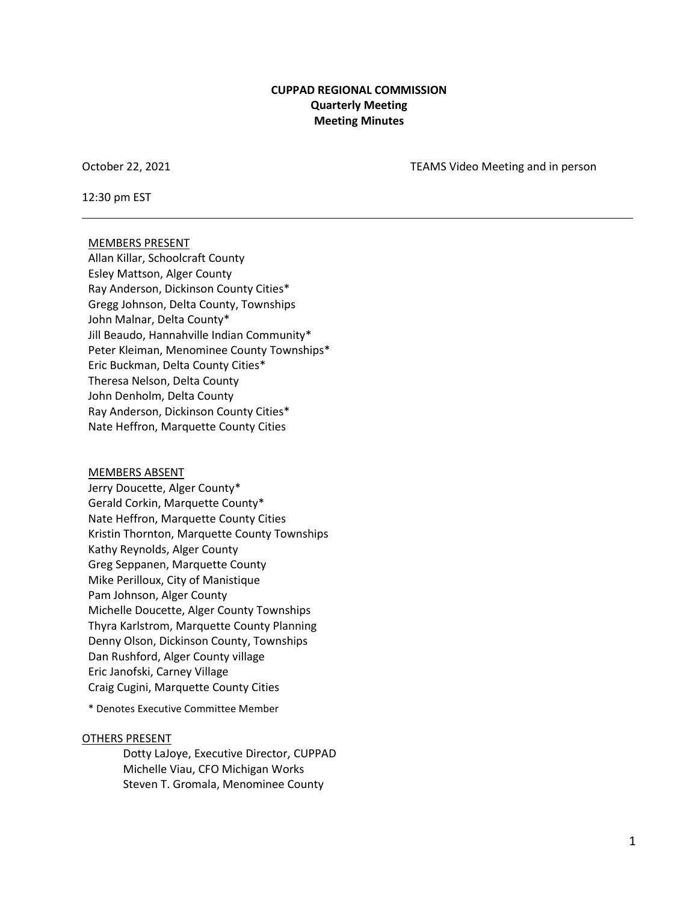#### **CUPPAD REGIONAL COMMISSION Quarterly Meeting Meeting Minutes**

October 22, 2021 TEAMS Video Meeting and in person

12:30 pm EST

#### MEMBERS PRESENT

Allan Killar, Schoolcraft County Esley Mattson, Alger County Ray Anderson, Dickinson County Cities\* Gregg Johnson, Delta County, Townships John Malnar, Delta County\* Jill Beaudo, Hannahville Indian Community\* Peter Kleiman, Menominee County Townships\* Eric Buckman, Delta County Cities\* Theresa Nelson, Delta County John Denholm, Delta County Ray Anderson, Dickinson County Cities\* Nate Heffron, Marquette County Cities

#### MEMBERS ABSENT

Jerry Doucette, Alger County\* Gerald Corkin, Marquette County\* Nate Heffron, Marquette County Cities Kristin Thornton, Marquette County Townships Kathy Reynolds, Alger County Greg Seppanen, Marquette County Mike Perilloux, City of Manistique Pam Johnson, Alger County Michelle Doucette, Alger County Townships Thyra Karlstrom, Marquette County Planning Denny Olson, Dickinson County, Townships Dan Rushford, Alger County village Eric Janofski, Carney Village Craig Cugini, Marquette County Cities

\* Denotes Executive Committee Member

#### OTHERS PRESENT

Dotty LaJoye, Executive Director, CUPPAD Michelle Viau, CFO Michigan Works Steven T. Gromala, Menominee County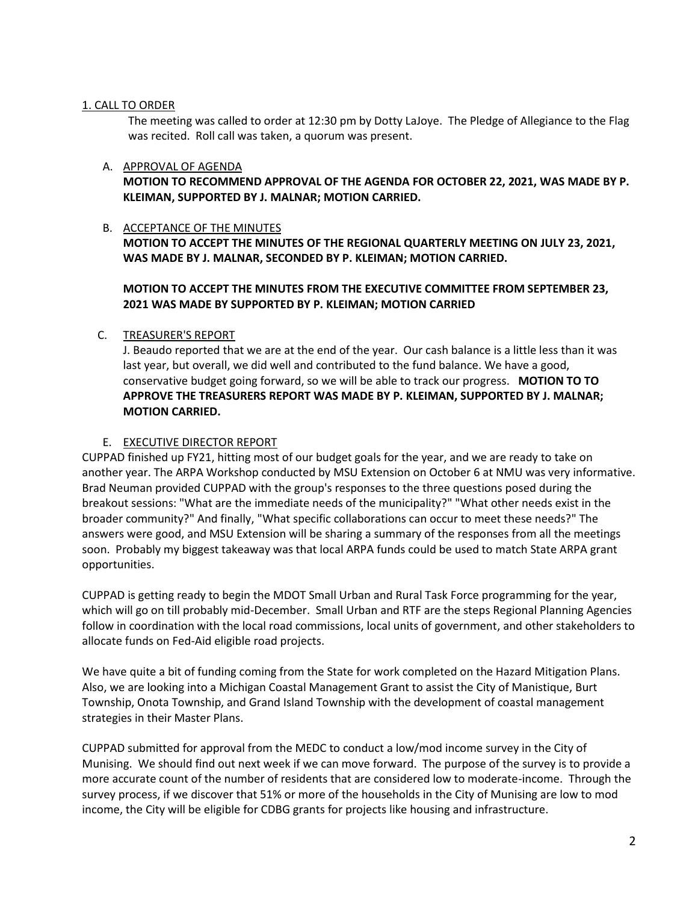#### 1. CALL TO ORDER

The meeting was called to order at 12:30 pm by Dotty LaJoye. The Pledge of Allegiance to the Flag was recited. Roll call was taken, a quorum was present.

# A. APPROVAL OF AGENDA

**MOTION TO RECOMMEND APPROVAL OF THE AGENDA FOR OCTOBER 22, 2021, WAS MADE BY P. KLEIMAN, SUPPORTED BY J. MALNAR; MOTION CARRIED.**

#### B. ACCEPTANCE OF THE MINUTES

**MOTION TO ACCEPT THE MINUTES OF THE REGIONAL QUARTERLY MEETING ON JULY 23, 2021, WAS MADE BY J. MALNAR, SECONDED BY P. KLEIMAN; MOTION CARRIED.**

## **MOTION TO ACCEPT THE MINUTES FROM THE EXECUTIVE COMMITTEE FROM SEPTEMBER 23, 2021 WAS MADE BY SUPPORTED BY P. KLEIMAN; MOTION CARRIED**

#### C. TREASURER'S REPORT

J. Beaudo reported that we are at the end of the year. Our cash balance is a little less than it was last year, but overall, we did well and contributed to the fund balance. We have a good, conservative budget going forward, so we will be able to track our progress. **MOTION TO TO APPROVE THE TREASURERS REPORT WAS MADE BY P. KLEIMAN, SUPPORTED BY J. MALNAR; MOTION CARRIED.**

#### E. EXECUTIVE DIRECTOR REPORT

CUPPAD finished up FY21, hitting most of our budget goals for the year, and we are ready to take on another year. The ARPA Workshop conducted by MSU Extension on October 6 at NMU was very informative. Brad Neuman provided CUPPAD with the group's responses to the three questions posed during the breakout sessions: "What are the immediate needs of the municipality?" "What other needs exist in the broader community?" And finally, "What specific collaborations can occur to meet these needs?" The answers were good, and MSU Extension will be sharing a summary of the responses from all the meetings soon. Probably my biggest takeaway was that local ARPA funds could be used to match State ARPA grant opportunities.

CUPPAD is getting ready to begin the MDOT Small Urban and Rural Task Force programming for the year, which will go on till probably mid-December. Small Urban and RTF are the steps Regional Planning Agencies follow in coordination with the local road commissions, local units of government, and other stakeholders to allocate funds on Fed-Aid eligible road projects.

We have quite a bit of funding coming from the State for work completed on the Hazard Mitigation Plans. Also, we are looking into a Michigan Coastal Management Grant to assist the City of Manistique, Burt Township, Onota Township, and Grand Island Township with the development of coastal management strategies in their Master Plans.

CUPPAD submitted for approval from the MEDC to conduct a low/mod income survey in the City of Munising. We should find out next week if we can move forward. The purpose of the survey is to provide a more accurate count of the number of residents that are considered low to moderate-income. Through the survey process, if we discover that 51% or more of the households in the City of Munising are low to mod income, the City will be eligible for CDBG grants for projects like housing and infrastructure.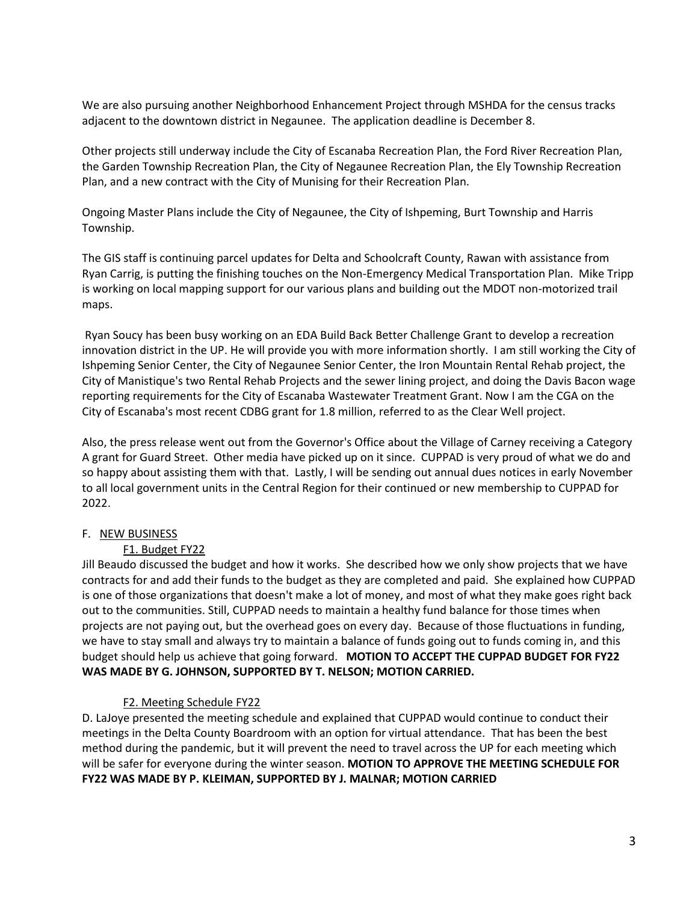We are also pursuing another Neighborhood Enhancement Project through MSHDA for the census tracks adjacent to the downtown district in Negaunee. The application deadline is December 8.

Other projects still underway include the City of Escanaba Recreation Plan, the Ford River Recreation Plan, the Garden Township Recreation Plan, the City of Negaunee Recreation Plan, the Ely Township Recreation Plan, and a new contract with the City of Munising for their Recreation Plan.

Ongoing Master Plans include the City of Negaunee, the City of Ishpeming, Burt Township and Harris Township.

The GIS staff is continuing parcel updates for Delta and Schoolcraft County, Rawan with assistance from Ryan Carrig, is putting the finishing touches on the Non-Emergency Medical Transportation Plan. Mike Tripp is working on local mapping support for our various plans and building out the MDOT non-motorized trail maps.

Ryan Soucy has been busy working on an EDA Build Back Better Challenge Grant to develop a recreation innovation district in the UP. He will provide you with more information shortly. I am still working the City of Ishpeming Senior Center, the City of Negaunee Senior Center, the Iron Mountain Rental Rehab project, the City of Manistique's two Rental Rehab Projects and the sewer lining project, and doing the Davis Bacon wage reporting requirements for the City of Escanaba Wastewater Treatment Grant. Now I am the CGA on the City of Escanaba's most recent CDBG grant for 1.8 million, referred to as the Clear Well project.

Also, the press release went out from the Governor's Office about the Village of Carney receiving a Category A grant for Guard Street. Other media have picked up on it since. CUPPAD is very proud of what we do and so happy about assisting them with that. Lastly, I will be sending out annual dues notices in early November to all local government units in the Central Region for their continued or new membership to CUPPAD for 2022.

# F. NEW BUSINESS

# F1. Budget FY22

Jill Beaudo discussed the budget and how it works. She described how we only show projects that we have contracts for and add their funds to the budget as they are completed and paid. She explained how CUPPAD is one of those organizations that doesn't make a lot of money, and most of what they make goes right back out to the communities. Still, CUPPAD needs to maintain a healthy fund balance for those times when projects are not paying out, but the overhead goes on every day. Because of those fluctuations in funding, we have to stay small and always try to maintain a balance of funds going out to funds coming in, and this budget should help us achieve that going forward. **MOTION TO ACCEPT THE CUPPAD BUDGET FOR FY22 WAS MADE BY G. JOHNSON, SUPPORTED BY T. NELSON; MOTION CARRIED.**

# F2. Meeting Schedule FY22

D. LaJoye presented the meeting schedule and explained that CUPPAD would continue to conduct their meetings in the Delta County Boardroom with an option for virtual attendance. That has been the best method during the pandemic, but it will prevent the need to travel across the UP for each meeting which will be safer for everyone during the winter season. **MOTION TO APPROVE THE MEETING SCHEDULE FOR FY22 WAS MADE BY P. KLEIMAN, SUPPORTED BY J. MALNAR; MOTION CARRIED**